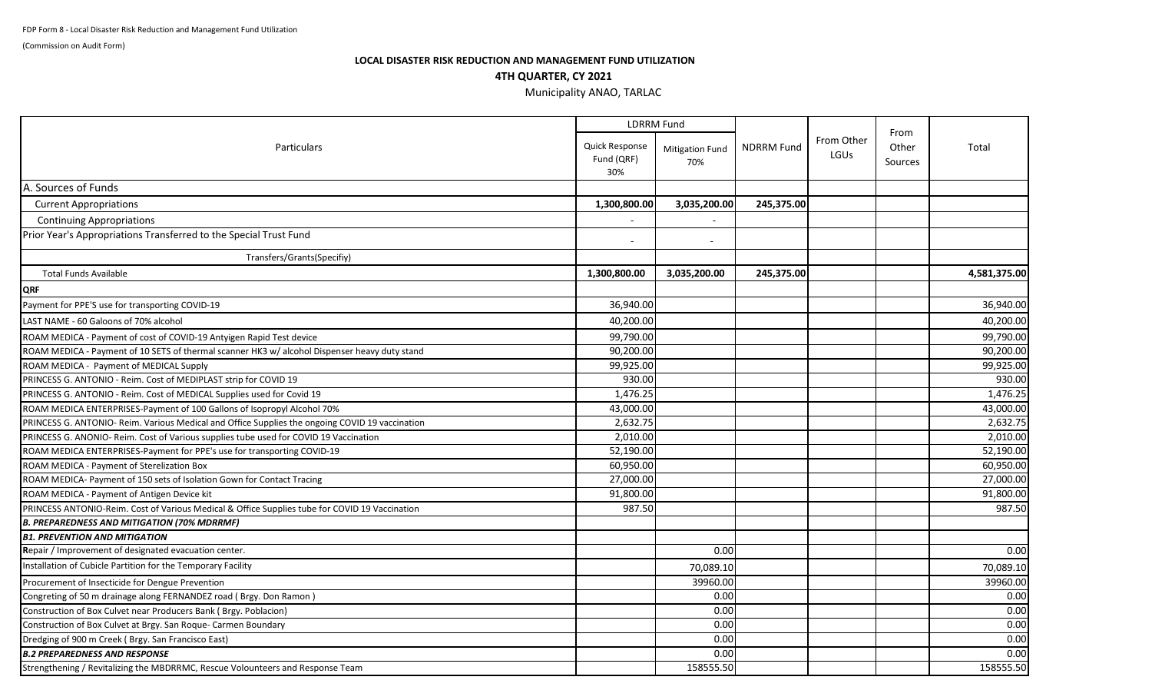(Commission on Audit Form)

## **LOCAL DISASTER RISK REDUCTION AND MANAGEMENT FUND UTILIZATION 4TH QUARTER, CY 2021**

## Municipality ANAO, TARLAC

| <b>Particulars</b>                                                                             |                                     | <b>LDRRM Fund</b>             |                   |                    |                          |              |
|------------------------------------------------------------------------------------------------|-------------------------------------|-------------------------------|-------------------|--------------------|--------------------------|--------------|
|                                                                                                | Quick Response<br>Fund (QRF)<br>30% | <b>Mitigation Fund</b><br>70% | <b>NDRRM Fund</b> | From Other<br>LGUs | From<br>Other<br>Sources | Total        |
| A. Sources of Funds                                                                            |                                     |                               |                   |                    |                          |              |
| <b>Current Appropriations</b>                                                                  | 1,300,800.00                        | 3,035,200.00                  | 245,375.00        |                    |                          |              |
| <b>Continuing Appropriations</b>                                                               |                                     |                               |                   |                    |                          |              |
| Prior Year's Appropriations Transferred to the Special Trust Fund                              |                                     | $\overline{\phantom{a}}$      |                   |                    |                          |              |
| Transfers/Grants(Specifiy)                                                                     |                                     |                               |                   |                    |                          |              |
| <b>Total Funds Available</b>                                                                   | 1,300,800.00                        | 3,035,200.00                  | 245,375.00        |                    |                          | 4,581,375.00 |
| <b>QRF</b>                                                                                     |                                     |                               |                   |                    |                          |              |
| Payment for PPE'S use for transporting COVID-19                                                | 36,940.00                           |                               |                   |                    |                          | 36,940.00    |
| LAST NAME - 60 Galoons of 70% alcohol                                                          | 40,200.00                           |                               |                   |                    |                          | 40,200.00    |
| ROAM MEDICA - Payment of cost of COVID-19 Antyigen Rapid Test device                           | 99,790.00                           |                               |                   |                    |                          | 99,790.00    |
| ROAM MEDICA - Payment of 10 SETS of thermal scanner HK3 w/ alcohol Dispenser heavy duty stand  | 90,200.00                           |                               |                   |                    |                          | 90,200.00    |
| ROAM MEDICA - Payment of MEDICAL Supply                                                        | 99,925.00                           |                               |                   |                    |                          | 99,925.00    |
| PRINCESS G. ANTONIO - Reim. Cost of MEDIPLAST strip for COVID 19                               | 930.00                              |                               |                   |                    |                          | 930.00       |
| PRINCESS G. ANTONIO - Reim. Cost of MEDICAL Supplies used for Covid 19                         | 1,476.25                            |                               |                   |                    |                          | 1,476.25     |
| ROAM MEDICA ENTERPRISES-Payment of 100 Gallons of Isopropyl Alcohol 70%                        | 43,000.00                           |                               |                   |                    |                          | 43,000.00    |
| PRINCESS G. ANTONIO-Reim. Various Medical and Office Supplies the ongoing COVID 19 vaccination | 2,632.75                            |                               |                   |                    |                          | 2,632.75     |
| PRINCESS G. ANONIO- Reim. Cost of Various supplies tube used for COVID 19 Vaccination          | 2,010.00                            |                               |                   |                    |                          | 2,010.00     |
| ROAM MEDICA ENTERPRISES-Payment for PPE's use for transporting COVID-19                        | 52,190.00                           |                               |                   |                    |                          | 52,190.00    |
| ROAM MEDICA - Payment of Sterelization Box                                                     | 60,950.00                           |                               |                   |                    |                          | 60,950.00    |
| ROAM MEDICA- Payment of 150 sets of Isolation Gown for Contact Tracing                         | 27,000.00                           |                               |                   |                    |                          | 27,000.00    |
| ROAM MEDICA - Payment of Antigen Device kit                                                    | 91,800.00                           |                               |                   |                    |                          | 91,800.00    |
| PRINCESS ANTONIO-Reim. Cost of Various Medical & Office Supplies tube for COVID 19 Vaccination | 987.50                              |                               |                   |                    |                          | 987.50       |
| <b>B. PREPAREDNESS AND MITIGATION (70% MDRRMF)</b>                                             |                                     |                               |                   |                    |                          |              |
| <b>B1. PREVENTION AND MITIGATION</b>                                                           |                                     |                               |                   |                    |                          |              |
| Repair / Improvement of designated evacuation center.                                          |                                     | 0.00                          |                   |                    |                          | 0.00         |
| Installation of Cubicle Partition for the Temporary Facility                                   |                                     | 70,089.10                     |                   |                    |                          | 70,089.10    |
| Procurement of Insecticide for Dengue Prevention                                               |                                     | 39960.00                      |                   |                    |                          | 39960.00     |
| Congreting of 50 m drainage along FERNANDEZ road ( Brgy. Don Ramon )                           |                                     | 0.00                          |                   |                    |                          | 0.00         |
| Construction of Box Culvet near Producers Bank ( Brgy. Poblacion)                              |                                     | 0.00                          |                   |                    |                          | 0.00         |
| Construction of Box Culvet at Brgy. San Roque- Carmen Boundary                                 |                                     | 0.00                          |                   |                    |                          | 0.00         |
| Dredging of 900 m Creek (Brgy. San Francisco East)                                             |                                     | 0.00                          |                   |                    |                          | 0.00         |
| <b>B.2 PREPAREDNESS AND RESPONSE</b>                                                           |                                     | 0.00                          |                   |                    |                          | 0.00         |
| Strengthening / Revitalizing the MBDRRMC, Rescue Volounteers and Response Team                 |                                     | 158555.50                     |                   |                    |                          | 158555.50    |